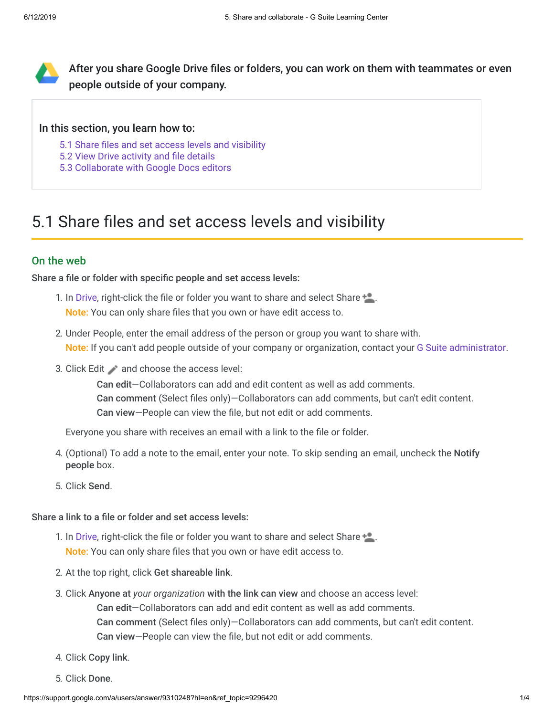

After you share Google Drive files or folders, you can work on them with teammates or even people outside of your company.

### In this section, you learn how to:

- [5.1 Share files and set access levels and visibility](https://support.google.com/a/users/answer/9310248?hl=en&ref_topic=9296420#5.1)
- [5.2 View Drive activity and file details](https://support.google.com/a/users/answer/9310248?hl=en&ref_topic=9296420#5.2)
- [5.3 Collaborate with Google Docs editors](https://support.google.com/a/users/answer/9310248?hl=en&ref_topic=9296420#5.3)

# 5.1 Share files and set access levels and visibility

## On the web

Share a file or folder with specific people and set access levels:

- 1. In [Drive](https://drive.google.com/), right-click the file or folder you want to share and select Share **:** Note: You can only share files that you own or have edit access to.
- 2. Under People, enter the email address of the person or group you want to share with. Note: If you can't add people outside of your company or organization, contact your [G Suite administrator](https://support.google.com/a/answer/6208960).
- 3. Click Edit and choose the access level:

Can edit—Collaborators can add and edit content as well as add comments. Can comment (Select files only)—Collaborators can add comments, but can't edit content. Can view—People can view the file, but not edit or add comments.

Everyone you share with receives an email with a link to the file or folder.

- 4. (Optional) To add a note to the email, enter your note. To skip sending an email, uncheck the Notify people box.
- 5. Click Send.

Share a link to a file or folder and set access levels:

- 1. In [Drive](https://drive.google.com/), right-click the file or folder you want to share and select Share **:** Note: You can only share files that you own or have edit access to.
- 2. At the top right, click Get shareable link.
- 3. Click Anyone at *your organization* with the link can view and choose an access level:

Can edit—Collaborators can add and edit content as well as add comments.

Can comment (Select files only)—Collaborators can add comments, but can't edit content.

Can view—People can view the file, but not edit or add comments.

- 4. Click Copy link.
- 5. Click Done.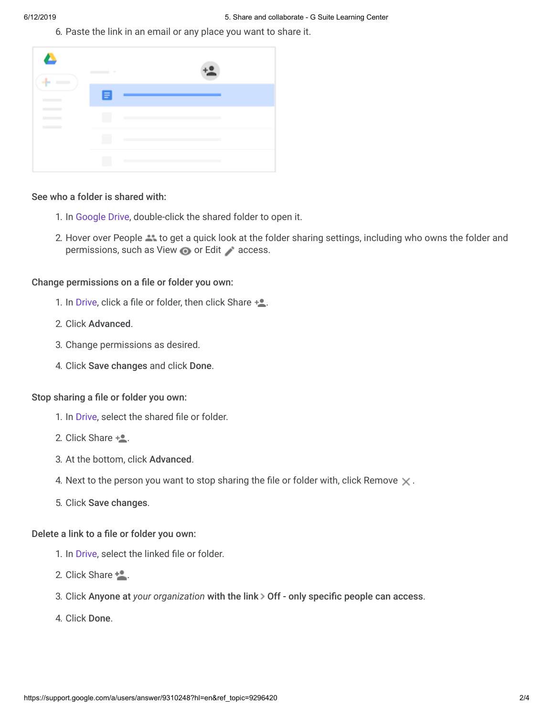6. Paste the link in an email or any place you want to share it.

| ÷<br><b>College College</b> | $\frac{1}{2}$ |               |
|-----------------------------|---------------|---------------|
|                             | E             |               |
|                             | n             |               |
|                             |               | $\mathcal{L}$ |
|                             |               |               |

#### See who a folder is shared with:

- 1. In [Google Drive](https://drive.google.com/), double-click the shared folder to open it.
- 2. Hover over People **that the get a quick look at the folder sharing settings, including who owns the folder and** permissions, such as View **or Edit** access.

Change permissions on a file or folder you own:

- 1. In [Drive](https://drive.google.com/), click a file or folder, then click Share  $+2$ .
- 2. Click Advanced.
- 3. Change permissions as desired.
- 4. Click Save changes and click Done.

## Stop sharing a file or folder you own:

- 1. In [Drive](https://drive.google.com/), select the shared file or folder.
- 2. Click Share  $+$ .
- 3. At the bottom, click Advanced.
- 4. Next to the person you want to stop sharing the file or folder with, click Remove  $\times$ .
- 5. Click Save changes.

#### Delete a link to a file or folder you own:

- 1. In [Drive](https://drive.google.com/), select the linked file or folder.
- 2. Click Share  $\pm$ .
- 3. Click Anyone at *your organization* with the link > Off only specific people can access.
- 4. Click Done.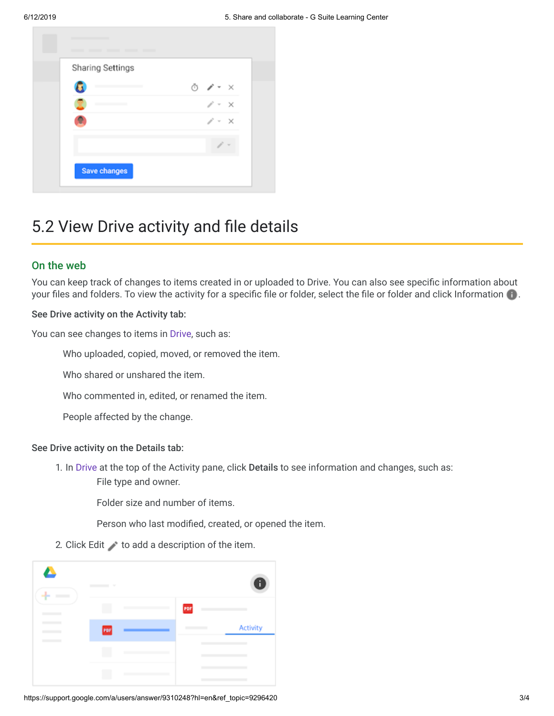

# 5.2 View Drive activity and file details

## On the web

You can keep track of changes to items created in or uploaded to Drive. You can also see specific information about your files and folders. To view the activity for a specific file or folder, select the file or folder and click Information  $\bullet$ .

### See Drive activity on the Activity tab:

You can see changes to items in [Drive](https://drive.google.com/), such as:

Who uploaded, copied, moved, or removed the item.

Who shared or unshared the item.

Who commented in, edited, or renamed the item.

People affected by the change.

### See Drive activity on the Details tab:

1. In [Drive](https://drive.google.com/) at the top of the Activity pane, click Details to see information and changes, such as: File type and owner.

Folder size and number of items.

Person who last modified, created, or opened the item.

2. Click Edit  $\longrightarrow$  to add a description of the item.

| $\sim$ |  |     | П        |
|--------|--|-----|----------|
|        |  | PDF |          |
| rar    |  |     | Activity |
|        |  |     |          |
|        |  |     |          |
|        |  |     |          |

https://support.google.com/a/users/answer/9310248?hl=en&ref\_topic=9296420 3/4